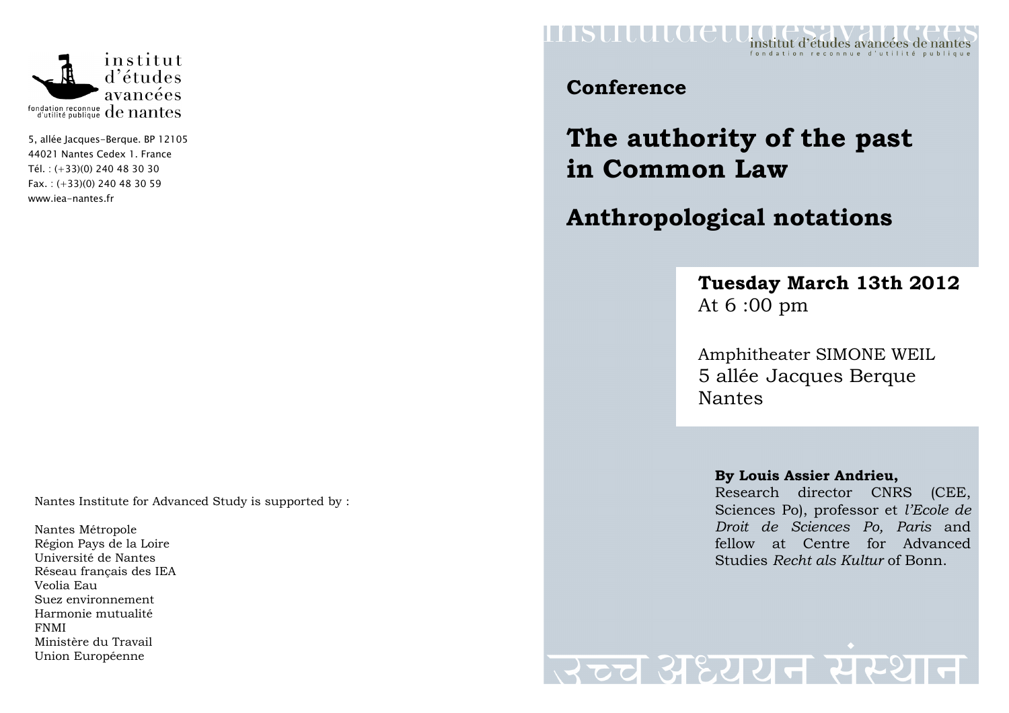

5, allée Jacques-Berque. BP 12105 44021 Nantes Cedex 1. France Tél. : (+33)(0) 240 48 30 30 Fax. : (+33)(0) 240 48 30 59 www.iea-nantes.fr

Nantes Institute for Advanced Study is supported by :

Nantes Métropole Région Pays de la Loire Université de Nantes Réseau français des IEA Veolia Eau Suez environnement Harmonie mutualité FNMI Ministère du Travail Union Européenne



### **Conference**

# **The authority of the past in Common Law**

## **Anthropological notations**

### **Tuesday March 13th 2012** At 6 :00 pm

Amphitheater SIMONE WEIL 5 allée Jacques Berque Nantes

#### **By Louis Assier Andrieu,**

 Research director CNRS (CEE, Sciences Po), professor et *l'Ecole de Droit de Sciences Po, Paris* and fellow at Centre for Advanced Studies *Recht als Kultur* of Bonn.

स्टच अध्ययन सर